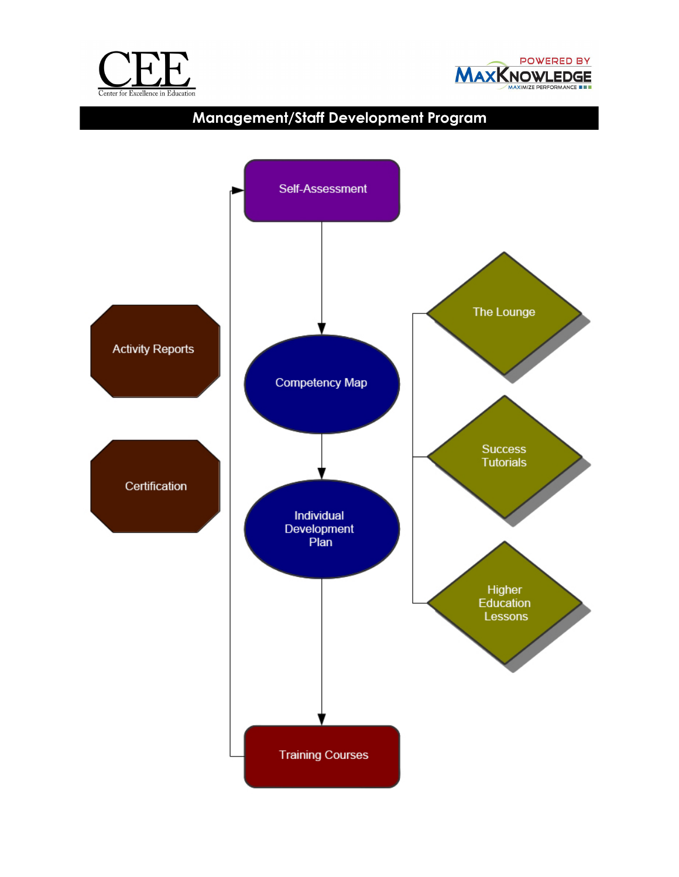



# **Management/Staff Development Program**